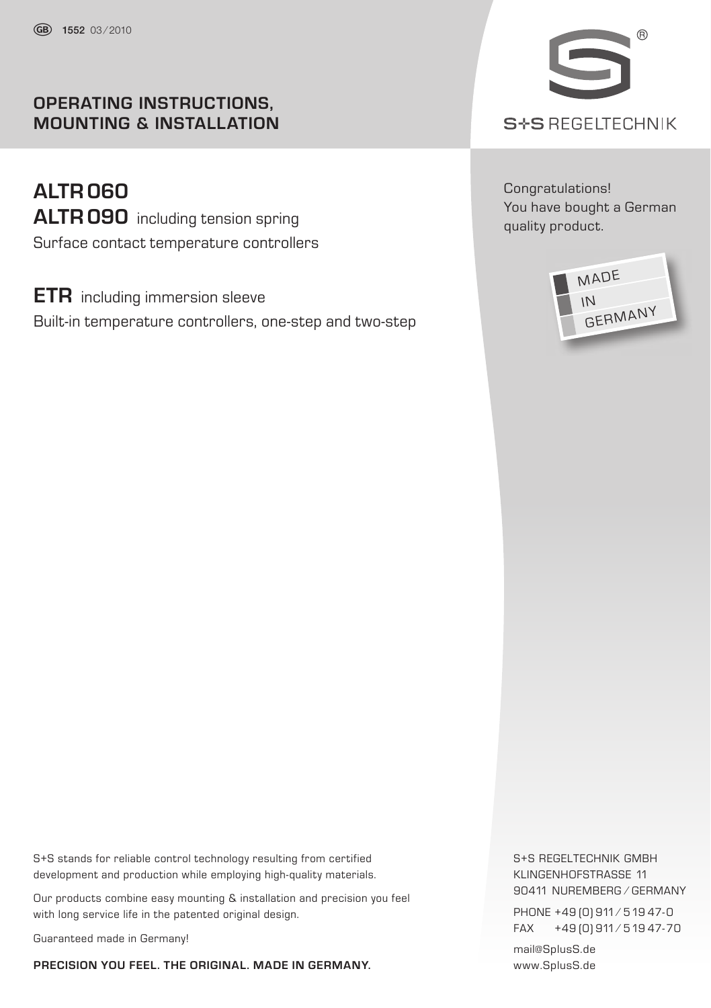# **OPERATING INSTRUCTIONS, MOUNTING & INSTALLATION**

**ALTR060 ALTR090** including tension spring Surface contact temperature controllers

**ETR** including immersion sleeve Built-in temperature controllers, one-step and two-step



Congratulations! You have bought a German quality product.



S+S stands for reliable control technology resulting from certified development and production while employing high-quality materials.

Our products combine easy mounting & installation and precision you feel with long service life in the patented original design.

Guaranteed made in Germany!

**PRECISION YOU FEEL. THE ORIGINAL. MADE IN GERMANY.**

S+S REGELTECHNIK GMBH KLINGENHOFSTRASSE 11 90411 NUREMBERG ⁄ GERMANY PHONE +49 (0) 911 / 519 47-0 FAX +49 (0) 911 ⁄ 519 47- 70

mail@SplusS.de www.SplusS.de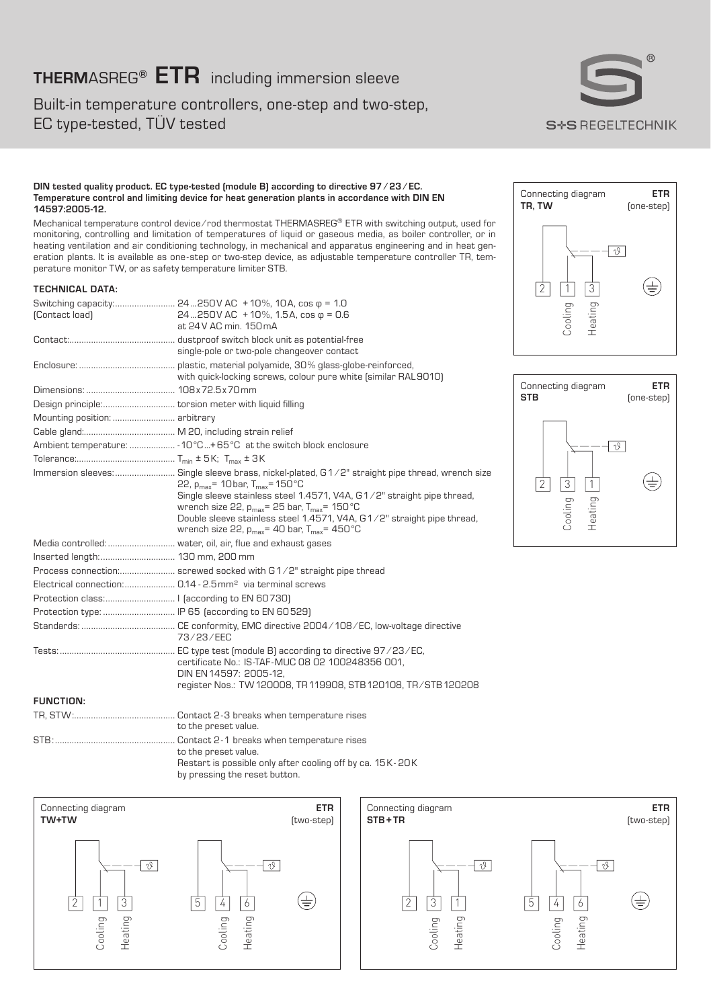# **THERM**ASREG**® ETR** including immersion sleeve

Built-in temperature controllers, one-step and two-step, EC type-tested, TÜV tested



#### **DIN tested quality product. EC type-tested (module B) according to directive 97 ⁄ 23 ⁄ EC. Temperature control and limiting device for heat generation plants in accordance with DIN EN 14597:2005-12.**

Mechanical temperature control device ⁄ rod thermostat THERMASREG® ETR with switching output, used for monitoring, controlling and limitation of temperatures of liquid or gaseous media, as boiler controller, or in heating ventilation and air conditioning technology, in mechanical and apparatus engineering and in heat generation plants. It is available as one - step or two-step device, as adjustable temperature controller TR, temperature monitor TW, or as safety temperature limiter STB.

### **TECHNICAL DATA:**

| (Contact load)                                  | Switching capacity: 24250V AC +10%, 10A, cos φ = 1.0<br>24250V AC +10%, 1.5A, cos $\varphi$ = 0.6<br>at 24V AC min. 150 mA                                                                                                                                                                                                                                                                                                    |
|-------------------------------------------------|-------------------------------------------------------------------------------------------------------------------------------------------------------------------------------------------------------------------------------------------------------------------------------------------------------------------------------------------------------------------------------------------------------------------------------|
|                                                 | single-pole or two-pole changeover contact                                                                                                                                                                                                                                                                                                                                                                                    |
|                                                 | with quick-locking screws, colour pure white (similar RAL9010)                                                                                                                                                                                                                                                                                                                                                                |
|                                                 |                                                                                                                                                                                                                                                                                                                                                                                                                               |
|                                                 |                                                                                                                                                                                                                                                                                                                                                                                                                               |
| Mounting position:  arbitrary                   |                                                                                                                                                                                                                                                                                                                                                                                                                               |
|                                                 |                                                                                                                                                                                                                                                                                                                                                                                                                               |
|                                                 | Ambient temperature:  - 10°C+65°C at the switch block enclosure                                                                                                                                                                                                                                                                                                                                                               |
|                                                 |                                                                                                                                                                                                                                                                                                                                                                                                                               |
|                                                 | Immersion sleeves: Single sleeve brass, nickel-plated, G1/2" straight pipe thread, wrench size<br>22, $p_{max}$ = 10bar, $T_{max}$ = 150 °C<br>Single sleeve stainless steel 1.4571, V4A, G1/2" straight pipe thread,<br>wrench size 22, $p_{max}$ = 25 bar, $T_{max}$ = 150 $^{\circ}$ C<br>Double sleeve stainless steel 1.4571, V4A, G1/2" straight pipe thread,<br>wrench size 22, $p_{max}$ = 40 bar, $T_{max}$ = 450 °C |
|                                                 |                                                                                                                                                                                                                                                                                                                                                                                                                               |
| Inserted length: 130 mm, 200 mm                 |                                                                                                                                                                                                                                                                                                                                                                                                                               |
|                                                 | Process connection: screwed socked with G1/2" straight pipe thread                                                                                                                                                                                                                                                                                                                                                            |
|                                                 | Electrical connection: 0.14 - 2.5 mm <sup>2</sup> via terminal screws                                                                                                                                                                                                                                                                                                                                                         |
|                                                 |                                                                                                                                                                                                                                                                                                                                                                                                                               |
| Protection type:  IP 65 (according to EN 60529) |                                                                                                                                                                                                                                                                                                                                                                                                                               |
|                                                 | 73/23/FFC                                                                                                                                                                                                                                                                                                                                                                                                                     |
|                                                 | certificate No.: IS-TAF-MUC 08 02 100248356 001.<br>DIN EN 14597: 2005-12.<br>register Nos.: TW 120008, TR 119908, STB 120108, TR/STB 120208                                                                                                                                                                                                                                                                                  |
| <b>FUNCTION:</b>                                |                                                                                                                                                                                                                                                                                                                                                                                                                               |
|                                                 | to the preset value.                                                                                                                                                                                                                                                                                                                                                                                                          |
|                                                 |                                                                                                                                                                                                                                                                                                                                                                                                                               |

# Connecting diagram **ETR** (one-step)  $-10$ ⊕  $\begin{array}{c|c}\n\hline\n2 & 1 & 3 \\
\hline\n\end{array}$ Cooling Heating







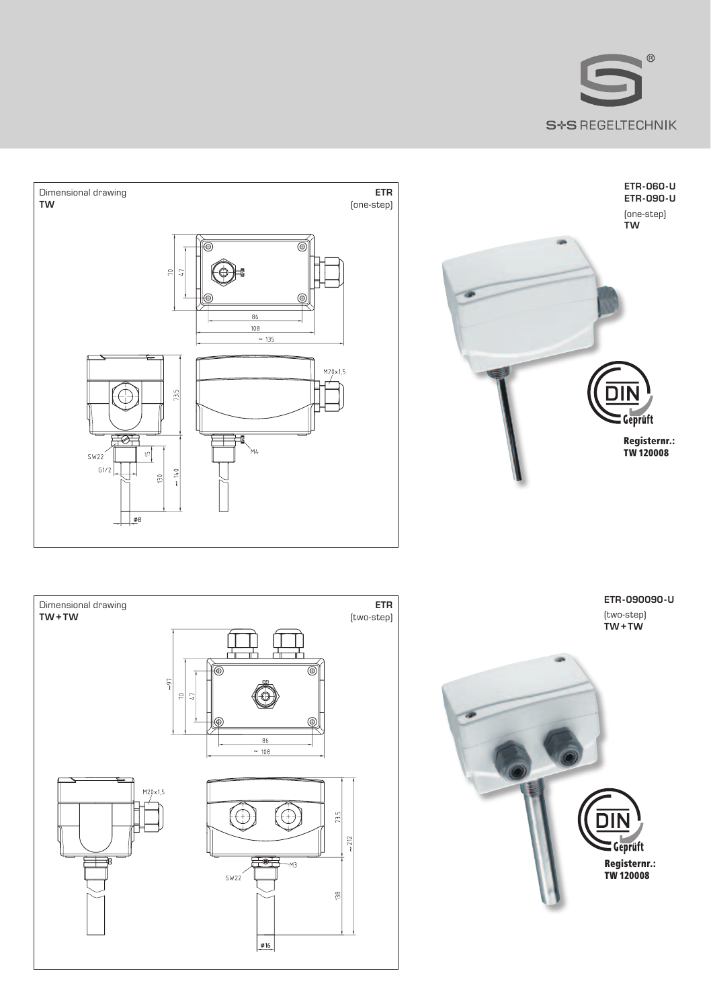

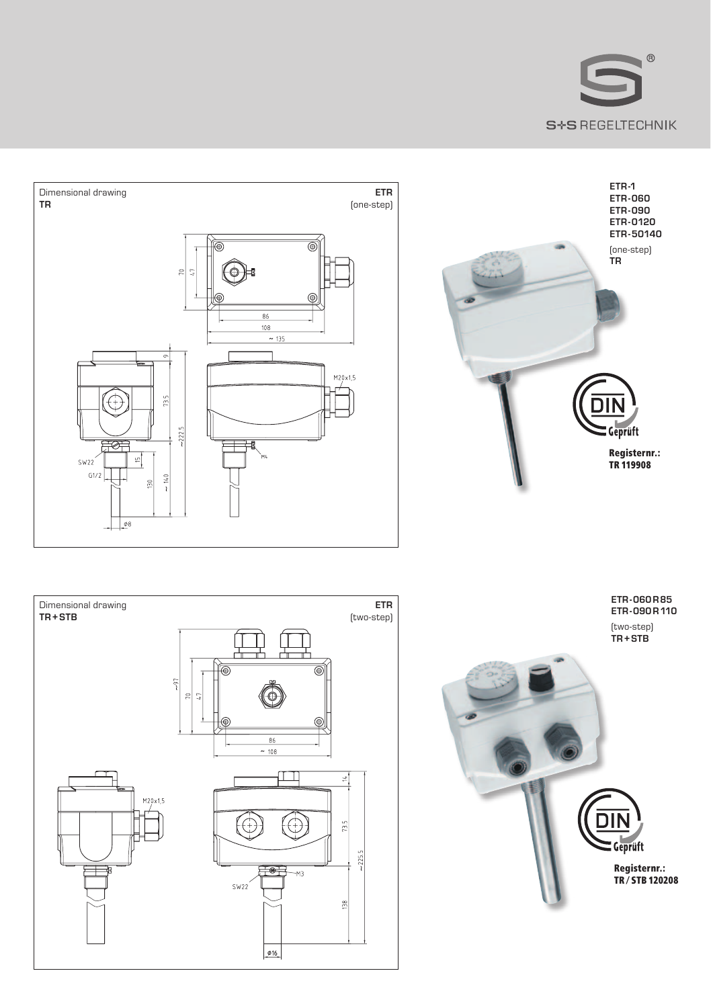



Registernr.: TR ⁄ STB 120208



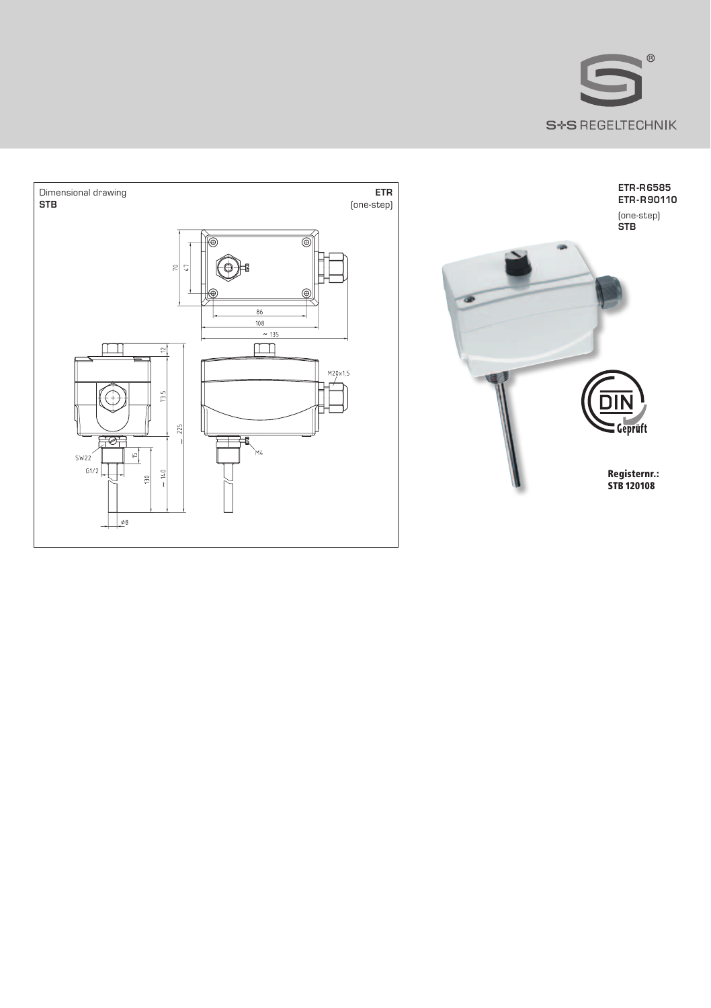



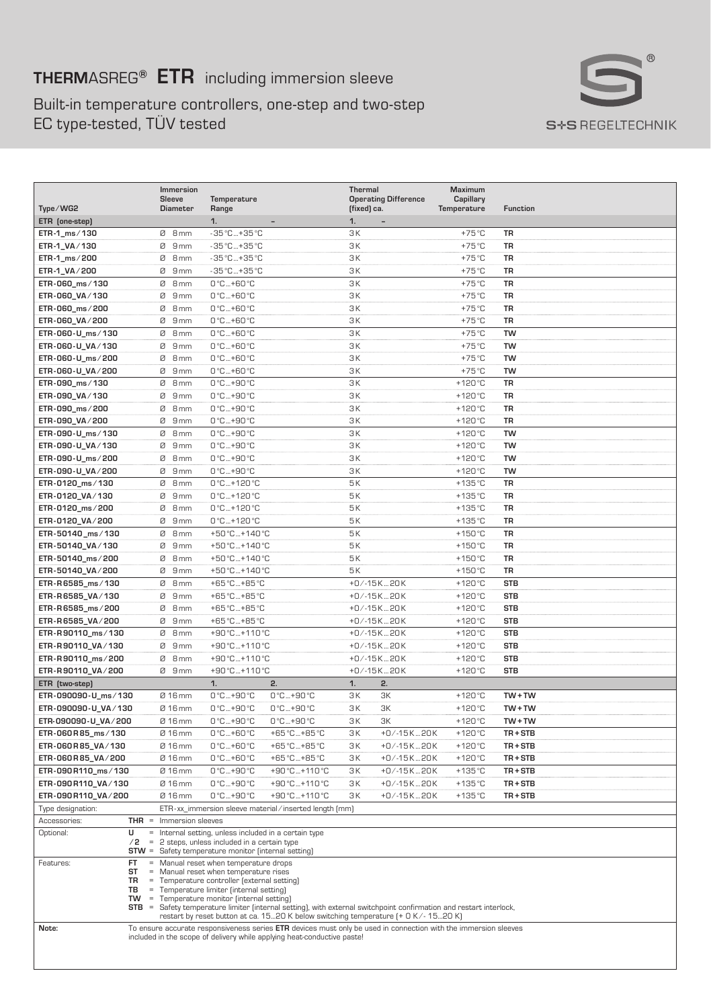# **THERM**ASREG**® ETR** including immersion sleeve

Built-in temperature controllers, one-step and two-step EC type-tested, TÜV tested



| Type/WG2                                                                                                        | Immersion<br><b>Sleeve</b><br><b>Diameter</b>                                                                                                   | Temperature<br>Range                                                                                                                                                                       | <b>Thermal</b><br><b>Operating Difference</b><br>(fixed) ca. | Maximum<br>Capillary<br>Temperature | <b>Function</b> |  |
|-----------------------------------------------------------------------------------------------------------------|-------------------------------------------------------------------------------------------------------------------------------------------------|--------------------------------------------------------------------------------------------------------------------------------------------------------------------------------------------|--------------------------------------------------------------|-------------------------------------|-----------------|--|
| ETR (one-step)                                                                                                  |                                                                                                                                                 | 1.                                                                                                                                                                                         | 1.                                                           |                                     |                 |  |
| ETR-1_ms/130                                                                                                    | Ø 8mm                                                                                                                                           | -35 °C  +35 °C                                                                                                                                                                             | 3K                                                           | $+75^{\circ}$ C                     | <b>TR</b>       |  |
| ETR-1_VA/130                                                                                                    | ø<br>9 <sub>mm</sub>                                                                                                                            | -35 °C  +35 °C                                                                                                                                                                             | ЗK                                                           | $+75^{\circ}$ C                     | TR              |  |
| ETR-1_ms/200                                                                                                    | ø<br>8 <sub>mm</sub>                                                                                                                            | -35 °C…+35 °C                                                                                                                                                                              | 3K                                                           | +75 °C                              | TR              |  |
| ETR-1_VA/200                                                                                                    | ø<br>9mm                                                                                                                                        | -35 °C+35 °C                                                                                                                                                                               | ЗК                                                           | +75 °C                              | TR              |  |
| ETR-060_ms/130                                                                                                  | ø<br>8 <sub>mm</sub>                                                                                                                            | 0°C+60°C                                                                                                                                                                                   | 3K                                                           | $+75^{\circ}$ C                     | <b>TR</b>       |  |
| ETR-060_VA/130                                                                                                  | Ø<br>9mm                                                                                                                                        | 0°C+60°C                                                                                                                                                                                   | 3K                                                           | $+75^{\circ}$ C                     | TR              |  |
| ETR-060_ms/200                                                                                                  | ø<br>8mm                                                                                                                                        | 0°C+60°C                                                                                                                                                                                   | ЗК                                                           | $+75^{\circ}$ C                     | TR              |  |
| ETR-060_VA/200                                                                                                  | 9mm<br>ø                                                                                                                                        | 0°C+60°C                                                                                                                                                                                   | 3K                                                           | $+75^{\circ}$ C                     | <b>TR</b>       |  |
| ETR-060-U_ms/130                                                                                                | ø<br>8mm                                                                                                                                        | 0°C  +60°C                                                                                                                                                                                 | 3K                                                           | $+75^{\circ}$ C                     | <b>TW</b>       |  |
| ETR-060-U_VA/130                                                                                                | $\alpha$<br>9mm                                                                                                                                 | 0°C+60°C                                                                                                                                                                                   | 3K                                                           | $+75^{\circ}$ C                     | <b>TW</b>       |  |
| ETR-060-U_ms/200                                                                                                | ø<br>8 <sub>mm</sub>                                                                                                                            | 0°C+60°C                                                                                                                                                                                   | 3K                                                           | $+75^{\circ}$ C                     | TW              |  |
| ETR-060-U_VA/200                                                                                                | ø<br>9mm                                                                                                                                        | 0°C+60°C                                                                                                                                                                                   | ЗК                                                           | $+75^{\circ}$ C                     | TW              |  |
| ETR-090_ms/130                                                                                                  | ø<br>8 <sub>mm</sub>                                                                                                                            | 0°C+90°C                                                                                                                                                                                   | 3K                                                           | $+120^{\circ}$ C                    | TR              |  |
| ETR-090_VA/130                                                                                                  | ø<br>9mm                                                                                                                                        | 0°C+90°C                                                                                                                                                                                   | ЗK                                                           | $+120^{\circ}$ C                    | TR              |  |
| ETR-090_ms/200                                                                                                  | ø<br>8 <sub>mm</sub>                                                                                                                            | 0°C+90°C                                                                                                                                                                                   | ЗK                                                           | $+120^{\circ}$ C                    | <b>TR</b>       |  |
| ETR-090_VA/200                                                                                                  | ø<br>9 <sub>mm</sub>                                                                                                                            | 0°C  +90°C                                                                                                                                                                                 | ЗК                                                           | $+120^{\circ}$ C                    | <b>TR</b>       |  |
| ETR-090-U_ms/130                                                                                                | ø<br>8 <sub>mm</sub>                                                                                                                            | 0°C+90°C                                                                                                                                                                                   | 3K                                                           | $+120^{\circ}$ C                    | <b>TW</b>       |  |
| ETR-090-U_VA/130                                                                                                | ø<br>9 <sub>mm</sub>                                                                                                                            | 0°C+90°C                                                                                                                                                                                   | 3K                                                           | $+120^{\circ}C$                     | <b>TW</b>       |  |
| ETR-090-U_ms/200                                                                                                | ø<br>8 mm                                                                                                                                       | 0°C+90°C                                                                                                                                                                                   | ЗK                                                           | $+120^{\circ}$ C                    | <b>TW</b>       |  |
| ETR-090-U_VA/200                                                                                                | Ø<br>9 <sub>mm</sub>                                                                                                                            | 0°C+90°C                                                                                                                                                                                   | 3K                                                           | $+120^{\circ}$ C                    | TW              |  |
| ETR-0120_ms/130                                                                                                 | ø<br>8 mm                                                                                                                                       | 0°C+120°C                                                                                                                                                                                  | 5K                                                           | $+135^{\circ}$ C                    | <b>TR</b>       |  |
| ETR-0120_VA/130                                                                                                 | ø<br>9mm                                                                                                                                        | 0°C+120°C                                                                                                                                                                                  | 5K                                                           | $+135^{\circ}$ C                    | TR              |  |
| ETR-0120_ms/200                                                                                                 | ø<br>8 <sub>mm</sub>                                                                                                                            | 0°C+120°C                                                                                                                                                                                  | 5K                                                           | $+135^{\circ}$ C                    | <b>TR</b>       |  |
| ETR-0120_VA/200                                                                                                 | $\alpha$<br>9 <sub>mm</sub>                                                                                                                     | 0°C+120°C                                                                                                                                                                                  | 5K                                                           | $+135^{\circ}$ C                    | <b>TR</b>       |  |
| ETR-50140_ms/130                                                                                                | ø<br>8 <sub>mm</sub>                                                                                                                            | +50 °C+140 °C                                                                                                                                                                              | 5K                                                           | $+150^{\circ}$ C                    | TR              |  |
| ETR-50140_VA/130                                                                                                | ø<br>9mm                                                                                                                                        | +50 °C  + 140 °C                                                                                                                                                                           | 5K                                                           | $+150^{\circ}$ C                    | <b>TR</b>       |  |
| ETR-50140_ms/200                                                                                                | ø<br>8 <sub>mm</sub>                                                                                                                            | +50 °C  + 140 °C                                                                                                                                                                           | 5K                                                           | $+150^{\circ}$ C                    | <b>TR</b>       |  |
| ETR-50140_VA/200                                                                                                | ø<br>9mm                                                                                                                                        | +50 °C  +140 °C                                                                                                                                                                            | <b>5K</b>                                                    | $+150^{\circ}$ C                    | TR              |  |
| ETR-R6585_ms/130                                                                                                | $\mathcal{D}$<br>8 <sub>mm</sub>                                                                                                                | +65 °C +85 °C                                                                                                                                                                              | +0/-15K20K                                                   | $+120^{\circ}$ C                    | <b>STB</b>      |  |
| ETR-R6585_VA/130                                                                                                | ø<br>9 <sub>mm</sub>                                                                                                                            | +65 °C +85 °C                                                                                                                                                                              | +0/-15K…20K                                                  | $+120^{\circ}$ C                    | <b>STB</b>      |  |
| ETR-R6585_ms/200                                                                                                | 8 <sub>mm</sub><br>ø                                                                                                                            | +65 °C +85 °C                                                                                                                                                                              | $+0/ -15K - 20K$                                             | $+120^{\circ}$ C                    | <b>STB</b>      |  |
| ETR-R6585_VA/200                                                                                                | ø<br>9mm                                                                                                                                        | +65 °C +85 °C                                                                                                                                                                              | +0/-15K20K                                                   | $+120^{\circ}$ C                    | <b>STB</b>      |  |
| ETR-R90110_ms/130                                                                                               | ø<br>8 <sub>mm</sub>                                                                                                                            | +90 °C  +110 °C                                                                                                                                                                            | +0/-15K20K                                                   | $+120^{\circ}C$                     | <b>STB</b>      |  |
| ETR-R90110_VA/130                                                                                               | 9mm<br>ø                                                                                                                                        | +90 °C+110 °C                                                                                                                                                                              | +0/-15K20K                                                   | $+120^{\circ}$ C                    | <b>STB</b>      |  |
| ETR-R90110_ms/200                                                                                               | ø<br>8mm                                                                                                                                        | +90 °C+110 °C                                                                                                                                                                              | +0/-15K20K                                                   | $+120^{\circ}$ C                    | <b>STB</b>      |  |
| ETR-R90110_VA/200                                                                                               | Й<br>9 <sub>mm</sub>                                                                                                                            | $+90 °C + 110 °C$                                                                                                                                                                          | +0/-15K20K                                                   | $+120^{\circ}$ C                    | <b>STB</b>      |  |
| ETR (two-step)                                                                                                  |                                                                                                                                                 | 1.<br>$\overline{2}$                                                                                                                                                                       | 1.<br>2.                                                     |                                     |                 |  |
| ETR-090090-U_ms/130                                                                                             | Ø 16 mm                                                                                                                                         | 0°C+90°C<br>0°C+90°C                                                                                                                                                                       | ЗK<br>3K                                                     | $+120^{\circ}$ C                    | $TW + TW$       |  |
| ETR-090090-U_VA/130                                                                                             | Ø 16 mm                                                                                                                                         | 0°C+90°C<br>0°C…+90°C                                                                                                                                                                      | 3K<br>ЗК                                                     | $+120^{\circ}$ C                    | $TW + TW$       |  |
| ETR-090090-U_VA/200                                                                                             | Ø 16 mm                                                                                                                                         | 0°C+90°C<br>0°C+90°C                                                                                                                                                                       | ЗК<br>ЗΚ                                                     | $+120^{\circ}$ C                    | $TW + TW$       |  |
| ETR-060R85_ms/130                                                                                               | Ø 16 mm                                                                                                                                         | 0°C+60°C<br>+65 °C  +85 °C                                                                                                                                                                 | 3K<br>$+0/ -15K - 20K$                                       | $+120^{\circ}$ C                    | $TR + STB$      |  |
| ETR-060R85_VA/130                                                                                               | Ø 16 mm                                                                                                                                         | 0°C+60°C<br>+65 °C+85 °C                                                                                                                                                                   | 3K<br>$+0/ -15K - 20K$                                       | $+120^{\circ}$ C                    | TR+STB          |  |
| ETR-060R85_VA/200                                                                                               | Ø 16 mm                                                                                                                                         | 0°C+60°C<br>+65 °C+85 °C                                                                                                                                                                   | 3K<br>$+0/ -15K$ 20K                                         | $+120^{\circ}$ C                    | TR+STB          |  |
| ETR-090R110_ms/130                                                                                              | Ø 16 mm                                                                                                                                         | 0°C+90°C<br>+90 °C…+110 °C                                                                                                                                                                 | ЗК<br>+0/-15K20K                                             | $+135^{\circ}$ C                    | TR+STB          |  |
| ETR-090R110_VA/130                                                                                              | Ø 16 mm                                                                                                                                         | 0°C  +90°C<br>+90 °C+110 °C                                                                                                                                                                | 3K<br>+0/-15K20K                                             | $+135^{\circ}$ C                    | $TR + STB$      |  |
| ETR-090R110_VA/200                                                                                              | Ø 16 mm                                                                                                                                         | 0°C+90°C<br>+90 °C+110 °C                                                                                                                                                                  | 3K<br>$+0/ -15K - 20K$                                       | $+135^{\circ}$ C                    | $TR + STB$      |  |
| Type designation:<br>ETR-xx_immersion sleeve material/inserted length [mm]                                      |                                                                                                                                                 |                                                                                                                                                                                            |                                                              |                                     |                 |  |
| Accessories:<br>$THR =$<br>U                                                                                    | Immersion sleeves<br>$=$                                                                                                                        |                                                                                                                                                                                            |                                                              |                                     |                 |  |
| Optional:<br>/2                                                                                                 | $=$                                                                                                                                             | Internal setting, unless included in a certain type<br>2 steps, unless included in a certain type                                                                                          |                                                              |                                     |                 |  |
| $STW =$                                                                                                         |                                                                                                                                                 | Safety temperature monitor (internal setting)                                                                                                                                              |                                                              |                                     |                 |  |
| Features:<br><b>FT</b><br>ST                                                                                    | $\equiv$<br>$=$                                                                                                                                 | Manual reset when temperature drops<br>Manual reset when temperature rises                                                                                                                 |                                                              |                                     |                 |  |
| TR<br>$\equiv$<br>Temperature controller (external setting)                                                     |                                                                                                                                                 |                                                                                                                                                                                            |                                                              |                                     |                 |  |
| TB<br>Temperature limiter finternal setting)<br><b>TW</b><br>$\equiv$<br>Temperature monitor (internal setting) |                                                                                                                                                 |                                                                                                                                                                                            |                                                              |                                     |                 |  |
|                                                                                                                 | <b>STB</b><br>$\qquad \qquad =$<br>Safety temperature limiter (internal setting), with external switchpoint confirmation and restart interlock, |                                                                                                                                                                                            |                                                              |                                     |                 |  |
|                                                                                                                 |                                                                                                                                                 | restart by reset button at ca. 1520 K below switching temperature (+ 0 K/- 1520 K)                                                                                                         |                                                              |                                     |                 |  |
| Note:                                                                                                           |                                                                                                                                                 | To ensure accurate responsiveness series ETR devices must only be used in connection with the immersion sleeves<br>included in the scope of delivery while applying heat-conductive paste! |                                                              |                                     |                 |  |
|                                                                                                                 |                                                                                                                                                 |                                                                                                                                                                                            |                                                              |                                     |                 |  |
|                                                                                                                 |                                                                                                                                                 |                                                                                                                                                                                            |                                                              |                                     |                 |  |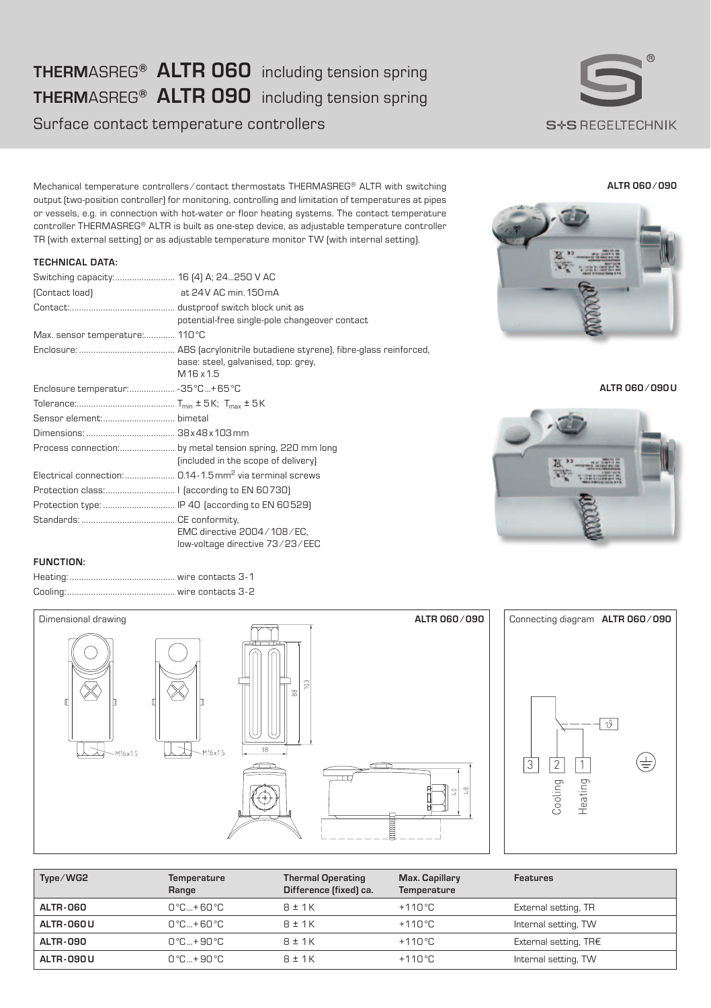# **THERM**ASREG**® ALTR 060** including tension spring **THERM**ASREG**® ALTR 090** including tension spring

Surface contact temperature controllers



**ALTR 060 ⁄ 090**

Mechanical temperature controllers ⁄ contact thermostats THERMASREG® ALTR with switching output (two-position controller) for monitoring, controlling and limitation of temperatures at pipes or vessels, e.g. in connection with hot-water or floor heating systems. The contact temperature controller THERMASREG® ALTR is built as one-step device, as adjustable temperature controller TR (with external setting) or as adjustable temperature monitor TW (with internal setting).

# **TECHNICAL DATA:**

| (Contact load)                                  | at 24 V AC min. 150 mA                                                                          |
|-------------------------------------------------|-------------------------------------------------------------------------------------------------|
|                                                 | potential-free single-pole changeover contact                                                   |
| Max. sensor temperature: 110°C                  |                                                                                                 |
|                                                 | base: steel, galvanised, top: grey,<br>M16 x1.5                                                 |
| Enclosure temperatur: - 35 °C + 65 °C           |                                                                                                 |
|                                                 |                                                                                                 |
|                                                 |                                                                                                 |
|                                                 |                                                                                                 |
|                                                 | Process connection: by metal tension spring, 220 mm long<br>(included in the scope of delivery) |
|                                                 | Electrical connection: 0.14-1.5 mm <sup>2</sup> via terminal screws                             |
|                                                 |                                                                                                 |
| Protection type:  IP 40 (according to EN 60529) |                                                                                                 |
|                                                 | EMC directive 2004/108/EC.<br>low-voltage directive 73/23/EEC                                   |



**ALTR 060 ⁄ 090U**



## **FUNCTION:**



| Type/WG2        | Temperature<br>Range     | <b>Thermal Operating</b><br>Difference (fixed) ca. | Max. Capillary<br>Temperature | Features              |
|-----------------|--------------------------|----------------------------------------------------|-------------------------------|-----------------------|
| <b>ALTR-060</b> | $0^\circ C + 60^\circ C$ | $R \pm 1K$                                         | $+110^{\circ}$ C              | External setting, TR  |
| ALTR-060 U      | $0^\circ C + 60^\circ C$ | $R \pm 1K$                                         | $+110^{\circ}$ C              | Internal setting, TW  |
| ALTR-090        | $0^\circ C + 90^\circ C$ | $R \pm 1K$                                         | $+110^{\circ}$ C              | External setting, TR€ |
| ALTR-090U       | $0^\circ C + 90^\circ C$ | $R \pm 1K$                                         | $+110^{\circ}$ C              | Internal setting, TW  |